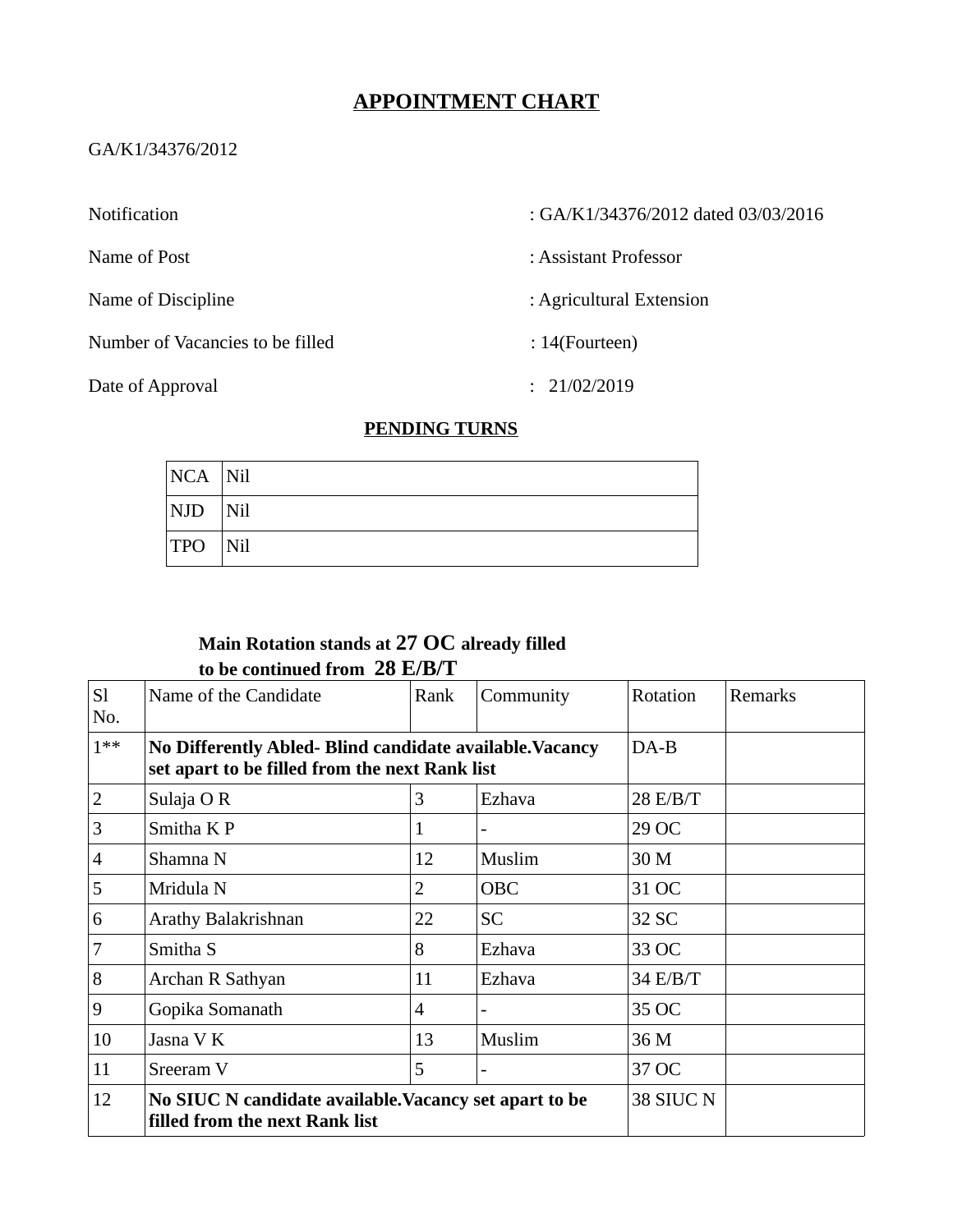# **APPOINTMENT CHART**

### GA/K1/34376/2012

Number of Vacancies to be filled : 14(Fourteen)

Notification : GA/K1/34376/2012 dated 03/03/2016

Name of Post : Assistant Professor

Name of Discipline  $\qquad \qquad$  : Agricultural Extension

Date of Approval : 21/02/2019

### **PENDING TURNS**

| $NCA$ Nil               |             |
|-------------------------|-------------|
| $\vert$ NJD $\vert$ Nil |             |
| <b>TPO</b>              | $\vert$ Nil |

# **Main Rotation stands at 27 OC already filled to be continued from 28 E/B/T**

| <sub>S1</sub>  | Name of the Candidate                                                                                      | Rank           | Community  | Rotation | Remarks |
|----------------|------------------------------------------------------------------------------------------------------------|----------------|------------|----------|---------|
| No.<br>$1***$  | No Differently Abled- Blind candidate available. Vacancy<br>set apart to be filled from the next Rank list | $DA-B$         |            |          |         |
| 2              | Sulaja OR                                                                                                  | 3              | Ezhava     | 28 E/B/T |         |
| 3              | Smitha K P                                                                                                 | 1              |            | 29 OC    |         |
| $\overline{4}$ | Shamna N                                                                                                   | 12             | Muslim     | 30 M     |         |
| 5              | Mridula N                                                                                                  | $\overline{2}$ | <b>OBC</b> | 31 OC    |         |
| 6              | Arathy Balakrishnan                                                                                        | 22             | <b>SC</b>  | 32 SC    |         |
| 7              | Smitha S                                                                                                   | 8              | Ezhava     | 33 OC    |         |
| 8              | Archan R Sathyan                                                                                           | 11             | Ezhava     | 34 E/B/T |         |
| 9              | Gopika Somanath                                                                                            | 4              |            | 35 OC    |         |
| 10             | Jasna V K                                                                                                  | 13             | Muslim     | 36 M     |         |
| 11             | Sreeram <sub>V</sub>                                                                                       | 5              | ۰          | 37 OC    |         |
| 12             | No SIUC N candidate available. Vacancy set apart to be<br>filled from the next Rank list                   |                |            |          |         |